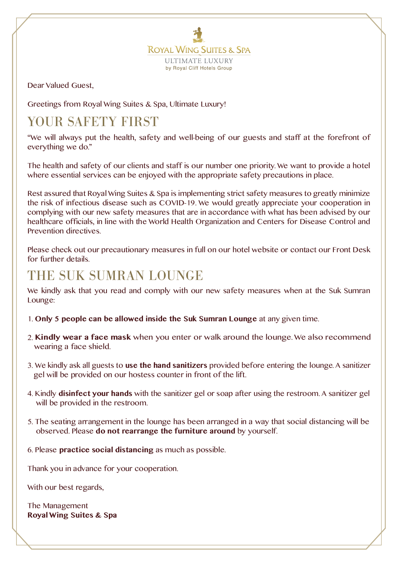**ROYAL WING SUITES & SPA ULTIMATE LUXURY** by Royal Cliff Hotels Group

Dear Valued Guest,

Greetings from Royal Wing Suites & Spa, Ultimate Luxury!

# YOUR SAFETY FIRST

"We will always put the health, safety and well-being of our guests and staff at the forefront of everything we do."

The health and safety of our clients and staff is our number one priority. We want to provide a hotel where essential services can be enjoyed with the appropriate safety precautions in place.

Rest assured that Royal Wing Suites & Spa is implementing strict safety measures to greatly minimize the risk of infectious disease such as COVID-19. We would greatly appreciate your cooperation in complying with our new safety measures that are in accordance with what has been advised by our healthcare officials, in line with the World Health Organization and Centers for Disease Control and Prevention directives.

Please check out our precautionary measures in full on our hotel website or contact our Front Desk for further details.

### THE SUK SUMRAN LOUNGE

We kindly ask that you read and comply with our new safety measures when at the Suk Sumran Lounge:

- 1. **Only 5 people can be allowed inside the Suk Sumran Lounge** at any given time.
- 2. **Kindly wear a face mask** when you enter or walk around the lounge. We also recommend wearing a face shield.
- 3. We kindly ask all guests to **use the hand sanitizers** provided before entering the lounge. A sanitizer gel will be provided on our hostess counter in front of the lift.
- 4. Kindly **disinfect your hands** with the sanitizer gel or soap after using the restroom. A sanitizer gel will be provided in the restroom.
- 5. The seating arrangement in the lounge has been arranged in a way that social distancing will be observed. Please **do not rearrange the furniture around** by yourself.

6. Please **practice social distancing** as much as possible.

Thank you in advance for your cooperation.

With our best regards,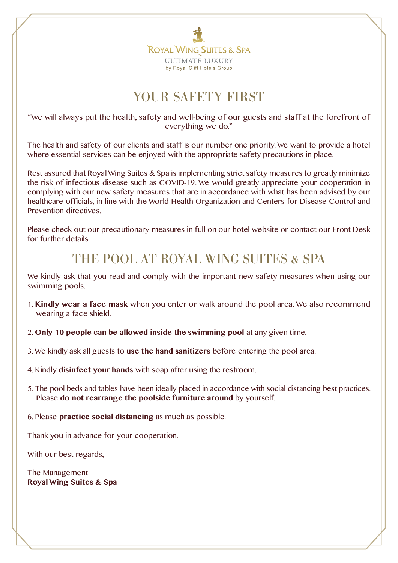

# YOUR SAFETY FIRST

"We will always put the health, safety and well-being of our guests and staff at the forefront of everything we do."

The health and safety of our clients and staff is our number one priority. We want to provide a hotel where essential services can be enjoyed with the appropriate safety precautions in place.

Rest assured that Royal Wing Suites & Spa is implementing strict safety measures to greatly minimize the risk of infectious disease such as COVID-19. We would greatly appreciate your cooperation in complying with our new safety measures that are in accordance with what has been advised by our healthcare officials, in line with the World Health Organization and Centers for Disease Control and Prevention directives.

Please check out our precautionary measures in full on our hotel website or contact our Front Desk for further details.

#### THE POOL AT ROYAL WING SUITES & SPA

We kindly ask that you read and comply with the important new safety measures when using our swimming pools.

- 1. **Kindly wear a face mask** when you enter or walk around the pool area. We also recommend wearing a face shield.
- 2. **Only 10 people can be allowed inside the swimming pool** at any given time.
- 3. We kindly ask all guests to **use the hand sanitizers** before entering the pool area.
- 4. Kindly **disinfect your hands** with soap after using the restroom.
- 5. The pool beds and tables have been ideally placed in accordance with social distancing best practices. Please **do not rearrange the poolside furniture around** by yourself.
- 6. Please **practice social distancing** as much as possible.

Thank you in advance for your cooperation.

With our best regards,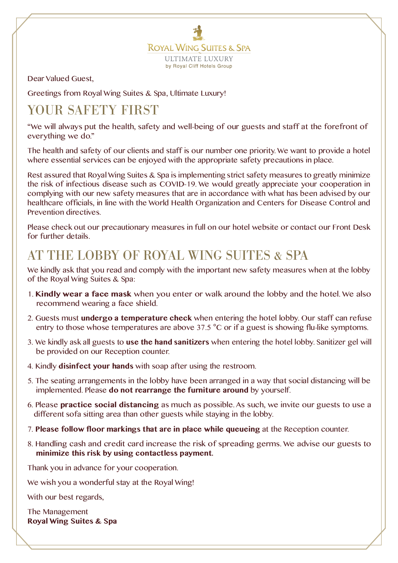**ROYAL WING SUITES & SPA ULTIMATE LUXURY** by Royal Cliff Hotels Group

Dear Valued Guest,

Greetings from Royal Wing Suites & Spa, Ultimate Luxury!

# YOUR SAFETY FIRST

"We will always put the health, safety and well-being of our guests and staff at the forefront of everything we do."

The health and safety of our clients and staff is our number one priority. We want to provide a hotel where essential services can be enjoyed with the appropriate safety precautions in place.

Rest assured that Royal Wing Suites & Spa is implementing strict safety measures to greatly minimize the risk of infectious disease such as COVID-19. We would greatly appreciate your cooperation in complying with our new safety measures that are in accordance with what has been advised by our healthcare officials, in line with the World Health Organization and Centers for Disease Control and Prevention directives.

Please check out our precautionary measures in full on our hotel website or contact our Front Desk for further details.

### AT THE LOBBY OF ROYAL WING SUITES & SPA

We kindly ask that you read and comply with the important new safety measures when at the lobby of the Royal Wing Suites & Spa:

- 1. **Kindly wear a face mask** when you enter or walk around the lobby and the hotel. We also recommend wearing a face shield.
- 2. Guests must **undergo a temperature check** when entering the hotel lobby. Our staff can refuse entry to those whose temperatures are above 37.5 °C or if a guest is showing flu-like symptoms.
- 3. We kindly ask all guests to **use the hand sanitizers** when entering the hotel lobby. Sanitizer gel will be provided on our Reception counter.
- 4. Kindly **disinfect your hands** with soap after using the restroom.
- 5. The seating arrangements in the lobby have been arranged in a way that social distancing will be implemented. Please **do not rearrange the furniture around** by yourself.
- 6. Please **practice social distancing** as much as possible. As such, we invite our guests to use a different sofa sitting area than other guests while staying in the lobby.
- 7. **Please follow floor markings that are in place while queueing** at the Reception counter.
- 8. Handling cash and credit card increase the risk of spreading germs. We advise our guests to **minimize this risk by using contactless payment.**

Thank you in advance for your cooperation.

We wish you a wonderful stay at the Royal Wing!

With our best regards,